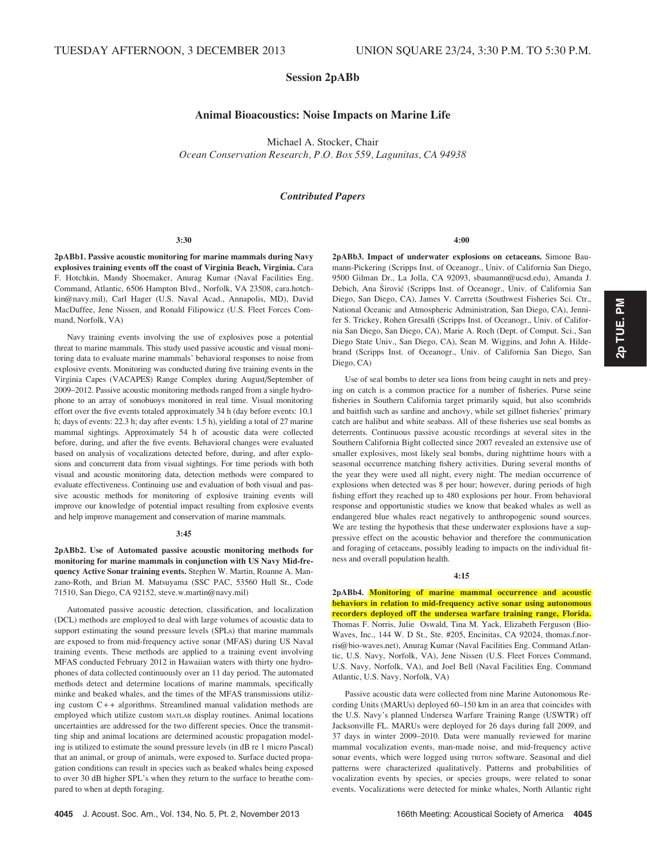## Session 2pABb

# Animal Bioacoustics: Noise Impacts on Marine Life

Michael A. Stocker, Chair Ocean Conservation Research, P.O. Box 559, Lagunitas, CA 94938

### Contributed Papers

## 3:30

2pABb1. Passive acoustic monitoring for marine mammals during Navy explosives training events off the coast of Virginia Beach, Virginia. Cara F. Hotchkin, Mandy Shoemaker, Anurag Kumar (Naval Facilities Eng. Command, Atlantic, 6506 Hampton Blvd., Norfolk, VA 23508, cara.hotchkin@navy.mil), Carl Hager (U.S. Naval Acad., Annapolis, MD), David MacDuffee, Jene Nissen, and Ronald Filipowicz (U.S. Fleet Forces Command, Norfolk, VA)

Navy training events involving the use of explosives pose a potential threat to marine mammals. This study used passive acoustic and visual monitoring data to evaluate marine mammals' behavioral responses to noise from explosive events. Monitoring was conducted during five training events in the Virginia Capes (VACAPES) Range Complex during August/September of 2009–2012. Passive acoustic monitoring methods ranged from a single hydrophone to an array of sonobuoys monitored in real time. Visual monitoring effort over the five events totaled approximately 34 h (day before events: 10.1 h; days of events: 22.3 h; day after events: 1.5 h), yielding a total of 27 marine mammal sightings. Approximately 54 h of acoustic data were collected before, during, and after the five events. Behavioral changes were evaluated based on analysis of vocalizations detected before, during, and after explosions and concurrent data from visual sightings. For time periods with both visual and acoustic monitoring data, detection methods were compared to evaluate effectiveness. Continuing use and evaluation of both visual and passive acoustic methods for monitoring of explosive training events will improve our knowledge of potential impact resulting from explosive events and help improve management and conservation of marine mammals.

#### 3:45

2pABb2. Use of Automated passive acoustic monitoring methods for monitoring for marine mammals in conjunction with US Navy Mid-frequency Active Sonar training events. Stephen W. Martin, Roanne A. Manzano-Roth, and Brian M. Matsuyama (SSC PAC, 53560 Hull St., Code 71510, San Diego, CA 92152, steve.w.martin@navy.mil)

Automated passive acoustic detection, classification, and localization (DCL) methods are employed to deal with large volumes of acoustic data to support estimating the sound pressure levels (SPLs) that marine mammals are exposed to from mid-frequency active sonar (MFAS) during US Naval training events. These methods are applied to a training event involving MFAS conducted February 2012 in Hawaiian waters with thirty one hydrophones of data collected continuously over an 11 day period. The automated methods detect and determine locations of marine mammals, specifically minke and beaked whales, and the times of the MFAS transmissions utilizing custom C++ algorithms. Streamlined manual validation methods are employed which utilize custom MATLAB display routines. Animal locations uncertainties are addressed for the two different species. Once the transmitting ship and animal locations are determined acoustic propagation modeling is utilized to estimate the sound pressure levels (in dB re 1 micro Pascal) that an animal, or group of animals, were exposed to. Surface ducted propagation conditions can result in species such as beaked whales being exposed to over 30 dB higher SPL's when they return to the surface to breathe compared to when at depth foraging.

4:00

2pABb3. Impact of underwater explosions on cetaceans. Simone Baumann-Pickering (Scripps Inst. of Oceanogr., Univ. of California San Diego, 9500 Gilman Dr., La Jolla, CA 92093, sbaumann@ucsd.edu), Amanda J. Debich, Ana Širović (Scripps Inst. of Oceanogr., Univ. of California San Diego, San Diego, CA), James V. Carretta (Southwest Fisheries Sci. Ctr., National Oceanic and Atmospheric Administration, San Diego, CA), Jennifer S. Trickey, Rohen Gresalfi (Scripps Inst. of Oceanogr., Univ. of California San Diego, San Diego, CA), Marie A. Roch (Dept. of Comput. Sci., San Diego State Univ., San Diego, CA), Sean M. Wiggins, and John A. Hildebrand (Scripps Inst. of Oceanogr., Univ. of California San Diego, San Diego, CA)

Use of seal bombs to deter sea lions from being caught in nets and preying on catch is a common practice for a number of fisheries. Purse seine fisheries in Southern California target primarily squid, but also scombrids and baitfish such as sardine and anchovy, while set gillnet fisheries' primary catch are halibut and white seabass. All of these fisheries use seal bombs as deterrents. Continuous passive acoustic recordings at several sites in the Southern California Bight collected since 2007 revealed an extensive use of smaller explosives, most likely seal bombs, during nighttime hours with a seasonal occurrence matching fishery activities. During several months of the year they were used all night, every night. The median occurrence of explosions when detected was 8 per hour; however, during periods of high fishing effort they reached up to 480 explosions per hour. From behavioral response and opportunistic studies we know that beaked whales as well as endangered blue whales react negatively to anthropogenic sound sources. We are testing the hypothesis that these underwater explosions have a suppressive effect on the acoustic behavior and therefore the communication and foraging of cetaceans, possibly leading to impacts on the individual fitness and overall population health.

### 4:15

2pABb4. Monitoring of marine mammal occurrence and acoustic behaviors in relation to mid-frequency active sonar using autonomous recorders deployed off the undersea warfare training range, Florida. Thomas F. Norris, Julie Oswald, Tina M. Yack, Elizabeth Ferguson (Bio-Waves, Inc., 144 W. D St., Ste. #205, Encinitas, CA 92024, thomas.f.norris@bio-waves.net), Anurag Kumar (Naval Facilities Eng. Command Atlantic, U.S. Navy, Norfolk, VA), Jene Nissen (U.S. Fleet Forces Command, U.S. Navy, Norfolk, VA), and Joel Bell (Naval Facilities Eng. Command Atlantic, U.S. Navy, Norfolk, VA)

Passive acoustic data were collected from nine Marine Autonomous Recording Units (MARUs) deployed 60–150 km in an area that coincides with the U.S. Navy's planned Undersea Warfare Training Range (USWTR) off Jacksonville FL. MARUs were deployed for 26 days during fall 2009, and 37 days in winter 2009–2010. Data were manually reviewed for marine mammal vocalization events, man-made noise, and mid-frequency active sonar events, which were logged using TRITON software. Seasonal and diel patterns were characterized qualitatively. Patterns and probabilities of vocalization events by species, or species groups, were related to sonar events. Vocalizations were detected for minke whales, North Atlantic right